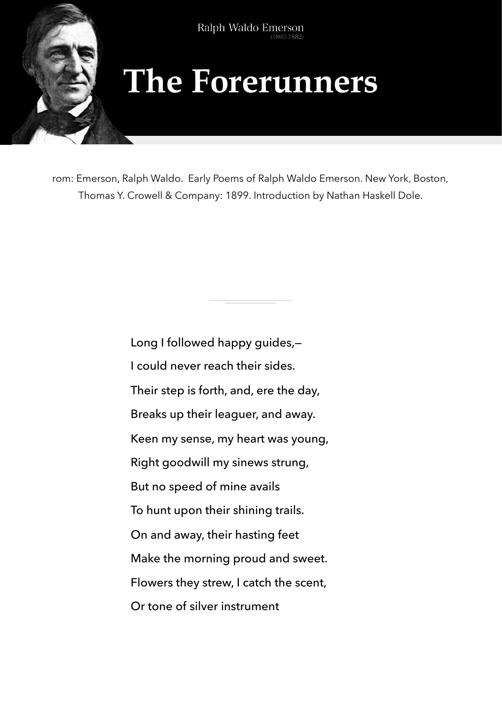

## **The Forerunners**

rom: Emerson, Ralph Waldo. Early Poems of Ralph Waldo Emerson. New York, Boston, Thomas Y. Crowell & Company: 1899. Introduction by Nathan Haskell Dole.

> Long I followed happy guides,— I could never reach their sides. Their step is forth, and, ere the day, Breaks up their leaguer, and away. Keen my sense, my heart was young, Right goodwill my sinews strung, But no speed of mine avails To hunt upon their shining trails. On and away, their hasting feet Make the morning proud and sweet. Flowers they strew, I catch the scent, Or tone of silver instrument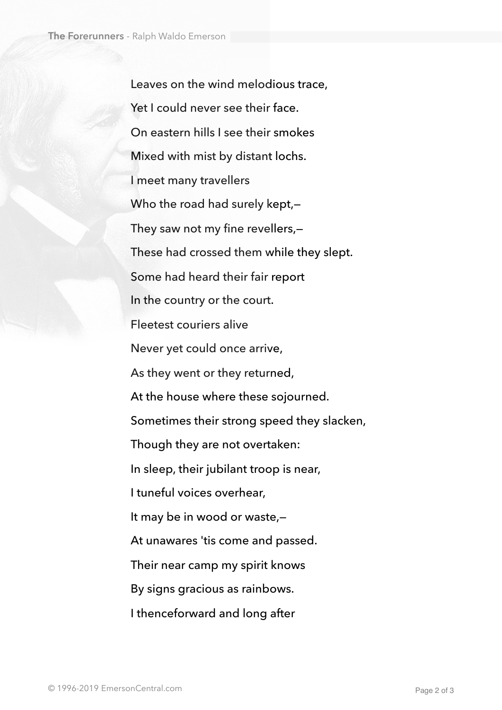Leaves on the wind melodious trace, Yet I could never see their face. On eastern hills I see their smokes Mixed with mist by distant lochs. I meet many travellers Who the road had surely kept,— They saw not my fine revellers,— These had crossed them while they slept. Some had heard their fair report In the country or the court. Fleetest couriers alive Never yet could once arrive, As they went or they returned, At the house where these sojourned. Sometimes their strong speed they slacken, Though they are not overtaken: In sleep, their jubilant troop is near, I tuneful voices overhear, It may be in wood or waste,— At unawares 'tis come and passed. Their near camp my spirit knows By signs gracious as rainbows. I thenceforward and long after